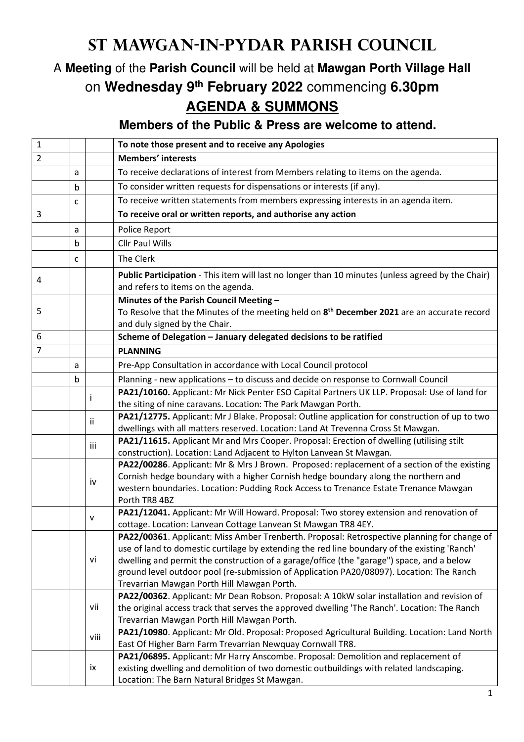## **St Mawgan-in-Pydar Parish Council**

## A **Meeting** of the **Parish Council** will be held at **Mawgan Porth Village Hall** on **Wednesday 9th February 2022** commencing **6.30pm AGENDA & SUMMONS**

**Members of the Public & Press are welcome to attend.** 

| $\mathbf{1}$   |   |              | To note those present and to receive any Apologies                                                                                                                                          |
|----------------|---|--------------|---------------------------------------------------------------------------------------------------------------------------------------------------------------------------------------------|
| $\overline{2}$ |   |              | <b>Members' interests</b>                                                                                                                                                                   |
|                | a |              | To receive declarations of interest from Members relating to items on the agenda.                                                                                                           |
|                | b |              | To consider written requests for dispensations or interests (if any).                                                                                                                       |
|                | C |              | To receive written statements from members expressing interests in an agenda item.                                                                                                          |
| 3              |   |              | To receive oral or written reports, and authorise any action                                                                                                                                |
|                | a |              | Police Report                                                                                                                                                                               |
|                | b |              | <b>Cllr Paul Wills</b>                                                                                                                                                                      |
|                | c |              | The Clerk                                                                                                                                                                                   |
| 4              |   |              | Public Participation - This item will last no longer than 10 minutes (unless agreed by the Chair)<br>and refers to items on the agenda.                                                     |
| 5              |   |              | Minutes of the Parish Council Meeting -<br>To Resolve that the Minutes of the meeting held on 8 <sup>th</sup> December 2021 are an accurate record<br>and duly signed by the Chair.         |
| 6              |   |              | Scheme of Delegation - January delegated decisions to be ratified                                                                                                                           |
| 7              |   |              | <b>PLANNING</b>                                                                                                                                                                             |
|                | a |              | Pre-App Consultation in accordance with Local Council protocol                                                                                                                              |
|                | b |              | Planning - new applications - to discuss and decide on response to Cornwall Council                                                                                                         |
|                |   |              | PA21/10160. Applicant: Mr Nick Penter ESO Capital Partners UK LLP. Proposal: Use of land for                                                                                                |
|                |   |              | the siting of nine caravans. Location: The Park Mawgan Porth.                                                                                                                               |
|                |   | Ϊİ           | PA21/12775. Applicant: Mr J Blake. Proposal: Outline application for construction of up to two<br>dwellings with all matters reserved. Location: Land At Trevenna Cross St Mawgan.          |
|                |   | iii          | PA21/11615. Applicant Mr and Mrs Cooper. Proposal: Erection of dwelling (utilising stilt                                                                                                    |
|                |   |              | construction). Location: Land Adjacent to Hylton Lanvean St Mawgan.<br>PA22/00286. Applicant: Mr & Mrs J Brown. Proposed: replacement of a section of the existing                          |
|                |   |              | Cornish hedge boundary with a higher Cornish hedge boundary along the northern and                                                                                                          |
|                |   | iv           | western boundaries. Location: Pudding Rock Access to Trenance Estate Trenance Mawgan                                                                                                        |
|                |   |              | Porth TR8 4BZ                                                                                                                                                                               |
|                |   | $\mathsf{v}$ | PA21/12041. Applicant: Mr Will Howard. Proposal: Two storey extension and renovation of                                                                                                     |
|                |   |              | cottage. Location: Lanvean Cottage Lanvean St Mawgan TR8 4EY.                                                                                                                               |
|                |   |              | PA22/00361. Applicant: Miss Amber Trenberth. Proposal: Retrospective planning for change of<br>use of land to domestic curtilage by extending the red line boundary of the existing 'Ranch' |
|                |   | vi           | dwelling and permit the construction of a garage/office (the "garage") space, and a below                                                                                                   |
|                |   |              | ground level outdoor pool (re-submission of Application PA20/08097). Location: The Ranch                                                                                                    |
|                |   |              | Trevarrian Mawgan Porth Hill Mawgan Porth.                                                                                                                                                  |
|                |   |              | PA22/00362. Applicant: Mr Dean Robson. Proposal: A 10kW solar installation and revision of                                                                                                  |
|                |   | vii          | the original access track that serves the approved dwelling 'The Ranch'. Location: The Ranch                                                                                                |
|                |   |              | Trevarrian Mawgan Porth Hill Mawgan Porth.                                                                                                                                                  |
|                |   | viii         | PA21/10980. Applicant: Mr Old. Proposal: Proposed Agricultural Building. Location: Land North<br>East Of Higher Barn Farm Trevarrian Newquay Cornwall TR8.                                  |
|                |   |              | PA21/06895. Applicant: Mr Harry Anscombe. Proposal: Demolition and replacement of                                                                                                           |
|                |   | ix           | existing dwelling and demolition of two domestic outbuildings with related landscaping.                                                                                                     |
|                |   |              | Location: The Barn Natural Bridges St Mawgan.                                                                                                                                               |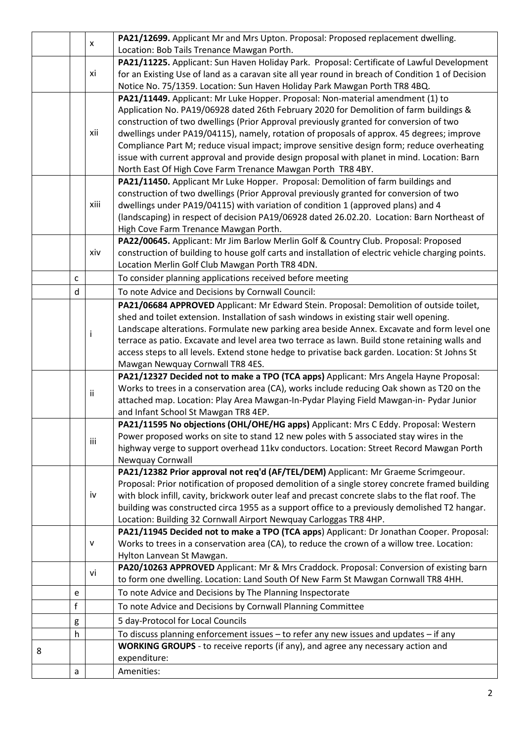|   |              |      | PA21/12699. Applicant Mr and Mrs Upton. Proposal: Proposed replacement dwelling.                                                                                                        |
|---|--------------|------|-----------------------------------------------------------------------------------------------------------------------------------------------------------------------------------------|
|   |              | X    | Location: Bob Tails Trenance Mawgan Porth.                                                                                                                                              |
|   |              |      | PA21/11225. Applicant: Sun Haven Holiday Park. Proposal: Certificate of Lawful Development                                                                                              |
|   |              | xi   | for an Existing Use of land as a caravan site all year round in breach of Condition 1 of Decision                                                                                       |
|   |              |      | Notice No. 75/1359. Location: Sun Haven Holiday Park Mawgan Porth TR8 4BQ.                                                                                                              |
|   |              |      | PA21/11449. Applicant: Mr Luke Hopper. Proposal: Non-material amendment (1) to                                                                                                          |
|   |              |      | Application No. PA19/06928 dated 26th February 2020 for Demolition of farm buildings &                                                                                                  |
|   |              |      | construction of two dwellings (Prior Approval previously granted for conversion of two                                                                                                  |
|   |              | xii  | dwellings under PA19/04115), namely, rotation of proposals of approx. 45 degrees; improve                                                                                               |
|   |              |      | Compliance Part M; reduce visual impact; improve sensitive design form; reduce overheating                                                                                              |
|   |              |      | issue with current approval and provide design proposal with planet in mind. Location: Barn                                                                                             |
|   |              |      | North East Of High Cove Farm Trenance Mawgan Porth TR8 4BY.                                                                                                                             |
|   |              |      | PA21/11450. Applicant Mr Luke Hopper. Proposal: Demolition of farm buildings and                                                                                                        |
|   |              |      | construction of two dwellings (Prior Approval previously granted for conversion of two                                                                                                  |
|   |              | xiii | dwellings under PA19/04115) with variation of condition 1 (approved plans) and 4                                                                                                        |
|   |              |      | (landscaping) in respect of decision PA19/06928 dated 26.02.20. Location: Barn Northeast of                                                                                             |
|   |              |      | High Cove Farm Trenance Mawgan Porth.                                                                                                                                                   |
|   |              |      | PA22/00645. Applicant: Mr Jim Barlow Merlin Golf & Country Club. Proposal: Proposed                                                                                                     |
|   |              | xiv  | construction of building to house golf carts and installation of electric vehicle charging points.                                                                                      |
|   |              |      | Location Merlin Golf Club Mawgan Porth TR8 4DN.                                                                                                                                         |
|   | $\mathsf{C}$ |      | To consider planning applications received before meeting                                                                                                                               |
|   | $\sf d$      |      | To note Advice and Decisions by Cornwall Council:                                                                                                                                       |
|   |              |      | PA21/06684 APPROVED Applicant: Mr Edward Stein. Proposal: Demolition of outside toilet,                                                                                                 |
|   |              |      | shed and toilet extension. Installation of sash windows in existing stair well opening.                                                                                                 |
|   |              | Ť    | Landscape alterations. Formulate new parking area beside Annex. Excavate and form level one                                                                                             |
|   |              |      | terrace as patio. Excavate and level area two terrace as lawn. Build stone retaining walls and                                                                                          |
|   |              |      | access steps to all levels. Extend stone hedge to privatise back garden. Location: St Johns St                                                                                          |
|   |              |      | Mawgan Newquay Cornwall TR8 4ES.                                                                                                                                                        |
|   |              |      | PA21/12327 Decided not to make a TPO (TCA apps) Applicant: Mrs Angela Hayne Proposal:                                                                                                   |
|   |              | ij   | Works to trees in a conservation area (CA), works include reducing Oak shown as T20 on the                                                                                              |
|   |              |      | attached map. Location: Play Area Mawgan-In-Pydar Playing Field Mawgan-in- Pydar Junior                                                                                                 |
|   |              |      | and Infant School St Mawgan TR8 4EP.                                                                                                                                                    |
|   |              |      | PA21/11595 No objections (OHL/OHE/HG apps) Applicant: Mrs C Eddy. Proposal: Western                                                                                                     |
|   |              | iii  | Power proposed works on site to stand 12 new poles with 5 associated stay wires in the                                                                                                  |
|   |              |      | highway verge to support overhead 11kv conductors. Location: Street Record Mawgan Porth                                                                                                 |
|   |              |      | Newquay Cornwall                                                                                                                                                                        |
|   |              |      | PA21/12382 Prior approval not req'd (AF/TEL/DEM) Applicant: Mr Graeme Scrimgeour.                                                                                                       |
|   |              |      | Proposal: Prior notification of proposed demolition of a single storey concrete framed building                                                                                         |
|   |              | iv   | with block infill, cavity, brickwork outer leaf and precast concrete slabs to the flat roof. The                                                                                        |
|   |              |      | building was constructed circa 1955 as a support office to a previously demolished T2 hangar.                                                                                           |
|   |              |      | Location: Building 32 Cornwall Airport Newquay Carloggas TR8 4HP.                                                                                                                       |
|   |              | v    | PA21/11945 Decided not to make a TPO (TCA apps) Applicant: Dr Jonathan Cooper. Proposal:<br>Works to trees in a conservation area (CA), to reduce the crown of a willow tree. Location: |
|   |              |      | Hylton Lanvean St Mawgan.                                                                                                                                                               |
|   |              |      | PA20/10263 APPROVED Applicant: Mr & Mrs Craddock. Proposal: Conversion of existing barn                                                                                                 |
|   |              | vi   | to form one dwelling. Location: Land South Of New Farm St Mawgan Cornwall TR8 4HH.                                                                                                      |
|   | e            |      | To note Advice and Decisions by The Planning Inspectorate                                                                                                                               |
|   |              |      |                                                                                                                                                                                         |
|   | $\mathsf{f}$ |      | To note Advice and Decisions by Cornwall Planning Committee                                                                                                                             |
|   | g            |      | 5 day-Protocol for Local Councils                                                                                                                                                       |
|   | h            |      | To discuss planning enforcement issues $-$ to refer any new issues and updates $-$ if any                                                                                               |
| 8 |              |      | <b>WORKING GROUPS</b> - to receive reports (if any), and agree any necessary action and                                                                                                 |
|   |              |      | expenditure:                                                                                                                                                                            |
|   | $\mathsf a$  |      | Amenities:                                                                                                                                                                              |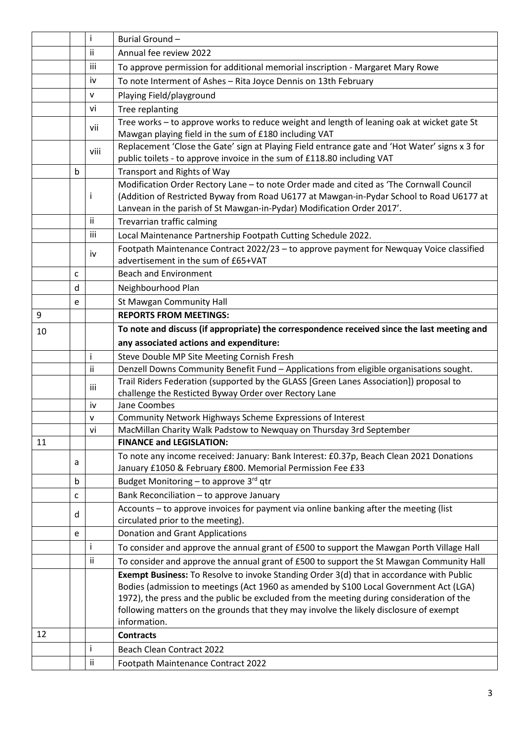|    |   | i            | Burial Ground-                                                                                 |
|----|---|--------------|------------------------------------------------------------------------------------------------|
|    |   | ii           | Annual fee review 2022                                                                         |
|    |   | iii          | To approve permission for additional memorial inscription - Margaret Mary Rowe                 |
|    |   | iv           | To note Interment of Ashes - Rita Joyce Dennis on 13th February                                |
|    |   | $\mathsf{v}$ | Playing Field/playground                                                                       |
|    |   | vi           | Tree replanting                                                                                |
|    |   |              | Tree works - to approve works to reduce weight and length of leaning oak at wicket gate St     |
|    |   | vii          | Mawgan playing field in the sum of £180 including VAT                                          |
|    |   | viii         | Replacement 'Close the Gate' sign at Playing Field entrance gate and 'Hot Water' signs x 3 for |
|    |   |              | public toilets - to approve invoice in the sum of £118.80 including VAT                        |
|    | b |              | <b>Transport and Rights of Way</b>                                                             |
|    |   |              | Modification Order Rectory Lane - to note Order made and cited as 'The Cornwall Council        |
|    |   | Ť            | (Addition of Restricted Byway from Road U6177 at Mawgan-in-Pydar School to Road U6177 at       |
|    |   |              | Lanvean in the parish of St Mawgan-in-Pydar) Modification Order 2017'.                         |
|    |   | ii.          | Trevarrian traffic calming                                                                     |
|    |   | iii          | Local Maintenance Partnership Footpath Cutting Schedule 2022.                                  |
|    |   | iv           | Footpath Maintenance Contract 2022/23 - to approve payment for Newquay Voice classified        |
|    |   |              | advertisement in the sum of £65+VAT                                                            |
|    | C |              | <b>Beach and Environment</b>                                                                   |
|    | d |              | Neighbourhood Plan                                                                             |
|    | e |              | St Mawgan Community Hall                                                                       |
| 9  |   |              | <b>REPORTS FROM MEETINGS:</b>                                                                  |
| 10 |   |              | To note and discuss (if appropriate) the correspondence received since the last meeting and    |
|    |   |              | any associated actions and expenditure:                                                        |
|    |   | Ť            | Steve Double MP Site Meeting Cornish Fresh                                                     |
|    |   | ii           | Denzell Downs Community Benefit Fund - Applications from eligible organisations sought.        |
|    |   | iii          | Trail Riders Federation (supported by the GLASS [Green Lanes Association]) proposal to         |
|    |   | iv           | challenge the Resticted Byway Order over Rectory Lane<br>Jane Coombes                          |
|    |   | v            | Community Network Highways Scheme Expressions of Interest                                      |
|    |   | vi           | MacMillan Charity Walk Padstow to Newquay on Thursday 3rd September                            |
| 11 |   |              | <b>FINANCE and LEGISLATION:</b>                                                                |
|    |   |              | To note any income received: January: Bank Interest: £0.37p, Beach Clean 2021 Donations        |
|    | a |              | January £1050 & February £800. Memorial Permission Fee £33                                     |
|    | b |              | Budget Monitoring – to approve $3^{rd}$ qtr                                                    |
|    | C |              | Bank Reconciliation - to approve January                                                       |
|    |   |              | Accounts - to approve invoices for payment via online banking after the meeting (list          |
|    | d |              |                                                                                                |
|    |   |              | circulated prior to the meeting).                                                              |
|    | e |              | <b>Donation and Grant Applications</b>                                                         |
|    |   | Ť            | To consider and approve the annual grant of £500 to support the Mawgan Porth Village Hall      |
|    |   | ii           | To consider and approve the annual grant of £500 to support the St Mawgan Community Hall       |
|    |   |              | Exempt Business: To Resolve to invoke Standing Order 3(d) that in accordance with Public       |
|    |   |              | Bodies (admission to meetings (Act 1960 as amended by S100 Local Government Act (LGA)          |
|    |   |              | 1972), the press and the public be excluded from the meeting during consideration of the       |
|    |   |              | following matters on the grounds that they may involve the likely disclosure of exempt         |
|    |   |              | information.                                                                                   |
| 12 |   |              | <b>Contracts</b>                                                                               |
|    |   | Ť<br>ii      | Beach Clean Contract 2022<br>Footpath Maintenance Contract 2022                                |